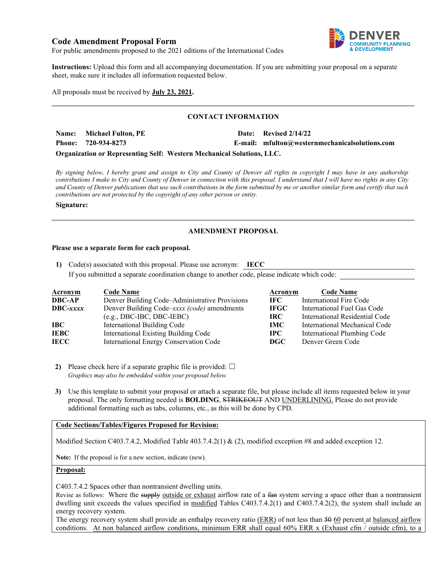# **Code Amendment Proposal Form**



For public amendments proposed to the 2021 editions of the International Codes

**Instructions:** Upload this form and all accompanying documentation. If you are submitting your proposal on a separate sheet, make sure it includes all information requested below.

All proposals must be received by **July 23, 2021.**

# **CONTACT INFORMATION**

**Name: Michael Fulton, PE Date: Revised 2/14/22 Phone: 720-934-8273 E-mail: mfulton@westernmechanicalsolutions.com**

**Organization or Representing Self: Western Mechanical Solutions, LLC.**

*By signing below, I hereby grant and assign to City and County of Denver all rights in copyright I may have in any authorship contributions I make to City and County of Denver in connection with this proposal. I understand that I will have no rights in any City and County of Denver publications that use such contributions in the form submitted by me or another similar form and certify that such contributions are not protected by the copyright of any other person or entity.* 

#### **Signature:**

# **AMENDMENT PROPOSAL**

### **Please use a separate form for each proposal.**

**1)** Code(s) associated with this proposal. Please use acronym: **IECC** If you submitted a separate coordination change to another code, please indicate which code:

| <u>Acronym</u>  | <b>Code Name</b>                               | Acronym     | <b>Code Name</b>               |
|-----------------|------------------------------------------------|-------------|--------------------------------|
| <b>DBC-AP</b>   | Denver Building Code–Administrative Provisions | IFC -       | International Fire Code        |
| <b>DBC-xxxx</b> | Denver Building Code–xxxx (code) amendments    | <b>IFGC</b> | International Fuel Gas Code    |
|                 | $(e.g., DBC-IBC, DBC-IEBC)$                    | IRC-        | International Residential Code |
| IBC             | International Building Code                    | <b>IMC</b>  | International Mechanical Code  |
| IEBC            | International Existing Building Code           | $\bf IPC$   | International Plumbing Code    |
| IECC            | International Energy Conservation Code         | DGC.        | Denver Green Code              |

**2)** Please check here if a separate graphic file is provided:  $\Box$ *Graphics may also be embedded within your proposal below.*

**3)** Use this template to submit your proposal or attach a separate file, but please include all items requested below in your proposal. The only formatting needed is **BOLDING**, STRIKEOUT AND UNDERLINING. Please do not provide additional formatting such as tabs, columns, etc., as this will be done by CPD.

# **Code Sections/Tables/Figures Proposed for Revision:**

Modified Section C403.7.4.2, Modified Table 403.7.4.2(1) & (2), modified exception #8 and added exception 12.

**Note:** If the proposal is for a new section, indicate (new).

### **Proposal:**

C403.7.4.2 Spaces other than nontransient dwelling units.

Revise as follows: Where the supply outside or exhaust airflow rate of a fan system serving a space other than a nontransient dwelling unit exceeds the values specified in modified Tables C403.7.4.2(1) and C403.7.4.2(2), the system shall include an energy recovery system.

The energy recovery system shall provide an enthalpy recovery ratio (ERR) of not less than 50 60 percent at balanced airflow conditions. At non balanced airflow conditions, minimum ERR shall equal 60% ERR x (Exhaust cfm / outside cfm), to a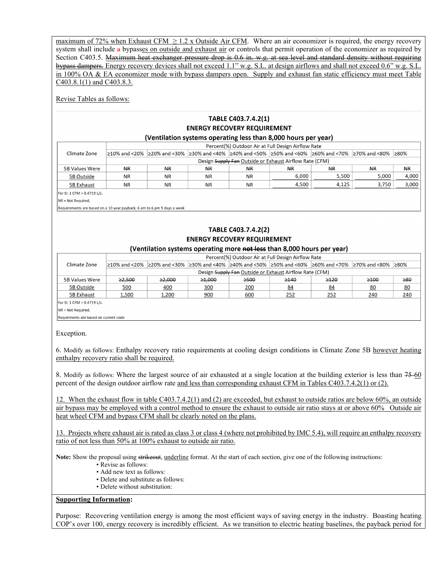maximum of 72% when Exhaust CFM  $\geq 1.2$  x Outside Air CFM. Where an air economizer is required, the energy recovery system shall include a bypasses on outside and exhaust air or controls that permit operation of the economizer as required by Section C403.5. Maximum heat exchanger pressure drop is 0.6 in. w.g. at sea level and standard density without requiring bypass dampers. Energy recovery devices shall not exceed 1.1" w.g. S.L. at design airflows and shall not exceed 0.6" w.g. S.L. in 100% OA & EA economizer mode with bypass dampers open. Supply and exhaust fan static efficiency must meet Table C403.8.1(1) and C403.8.3.

Revise Tables as follows:

| TABLE C403.7.4.2(1)                                                     |                                                    |                                                         |                                                                                                               |                     |                                                                         |       |                    |           |  |
|-------------------------------------------------------------------------|----------------------------------------------------|---------------------------------------------------------|---------------------------------------------------------------------------------------------------------------|---------------------|-------------------------------------------------------------------------|-------|--------------------|-----------|--|
| <b>ENERGY RECOVERY REQUIREMENT</b>                                      |                                                    |                                                         |                                                                                                               |                     |                                                                         |       |                    |           |  |
| (Ventilation systems operating less than 8,000 hours per year)          |                                                    |                                                         |                                                                                                               |                     |                                                                         |       |                    |           |  |
| Climate Zone                                                            | Percent(%) Outdoor Air at Full Design Airflow Rate |                                                         |                                                                                                               |                     |                                                                         |       |                    |           |  |
|                                                                         |                                                    |                                                         | ≥10% and <20%  ≥20% and <30%  ≥30% and <40%  ≥40% and <50%  ≥50% and <60%  ≥60% and <70%  ≥70% and <80%  ≥80% |                     |                                                                         |       |                    |           |  |
|                                                                         |                                                    | Design Supply Fan Outside or Exhaust Airflow Rate (CFM) |                                                                                                               |                     |                                                                         |       |                    |           |  |
| <b>5B Values Were</b>                                                   | AR                                                 | AR                                                      | AR                                                                                                            | HR                  | HR                                                                      | AR    | <b>NR</b>          | AR        |  |
| 5B Outside                                                              | <b>NR</b>                                          | <b>NR</b>                                               | <b>NR</b>                                                                                                     | <b>NR</b>           | 6,000                                                                   | 5,500 | 5,000              | 4,000     |  |
| <b>5B Exhaust</b>                                                       | <b>NR</b>                                          | <b>NR</b>                                               | <b>NR</b>                                                                                                     | <b>NR</b>           | 4,500                                                                   | 4,125 | 3,750              | 3,000     |  |
| For SI: 1 CFM = 0.4719 L/s.                                             |                                                    |                                                         |                                                                                                               |                     |                                                                         |       |                    |           |  |
| NR = Not Required.                                                      |                                                    |                                                         |                                                                                                               |                     |                                                                         |       |                    |           |  |
| Requirements are based on a 10 year payback, 6 am to 6 pm 5 days a week |                                                    |                                                         |                                                                                                               |                     |                                                                         |       |                    |           |  |
|                                                                         |                                                    |                                                         |                                                                                                               |                     |                                                                         |       |                    |           |  |
|                                                                         |                                                    |                                                         |                                                                                                               |                     |                                                                         |       |                    |           |  |
|                                                                         |                                                    |                                                         |                                                                                                               | TABLE C403.7.4.2(2) |                                                                         |       |                    |           |  |
|                                                                         |                                                    |                                                         | <b>ENERGY RECOVERY REQUIREMENT</b>                                                                            |                     |                                                                         |       |                    |           |  |
|                                                                         |                                                    |                                                         | (Ventilation systems operating more not less than 8,000 hours per year)                                       |                     |                                                                         |       |                    |           |  |
|                                                                         |                                                    |                                                         |                                                                                                               |                     | Percent(%) Outdoor Air at Full Design Airflow Rate                      |       |                    |           |  |
| Climate Zone                                                            | ≥10% and <20% 220% and <30%                        |                                                         |                                                                                                               |                     | $ $ ≥30% and <40% $ $ ≥40% and <50% $ $ ≥50% and <60% $ $ ≥60% and <70% |       | 270% and <80% 280% |           |  |
|                                                                         |                                                    |                                                         |                                                                                                               |                     |                                                                         |       |                    |           |  |
|                                                                         |                                                    |                                                         |                                                                                                               |                     | Design Supply Fan Outside or Exhaust Airflow Rate (CFM)                 |       |                    |           |  |
| <b>5B Values Were</b>                                                   | 22.500                                             | $\geq 2,000$                                            | $\geq 1,000$                                                                                                  | 2500                | $\geq 140$                                                              | 2120  | $\geq 100$         | $\geq 80$ |  |
| <b>5B Outside</b>                                                       | 500                                                | 400                                                     | 300                                                                                                           | 200                 | 84                                                                      | 84    | 80                 | 80        |  |
| <b>5B Exhaust</b>                                                       | 1,500                                              | 1,200                                                   | 900                                                                                                           | 600                 | 252                                                                     | 252   | 240                | 240       |  |
| For SI: 1 CFM = 0.4719 L/s.                                             |                                                    |                                                         |                                                                                                               |                     |                                                                         |       |                    |           |  |

NR = Not Required.

Requirments are based on current code

Exception.

6. Modify as follows: Enthalpy recovery ratio requirements at cooling design conditions in Climate Zone 5B however heating enthalpy recovery ratio shall be required.

8. Modify as follows: Where the largest source of air exhausted at a single location at the building exterior is less than 75-60 percent of the design outdoor airflow rate and less than corresponding exhaust CFM in Tables C403.7.4.2(1) or (2).

12. When the exhaust flow in table C403.7.4.2(1) and (2) are exceeded, but exhaust to outside ratios are below 60%, an outside air bypass may be employed with a control method to ensure the exhaust to outside air ratio stays at or above 60% Outside air heat wheel CFM and bypass CFM shall be clearly noted on the plans.

13. Projects where exhaust air is rated as class 3 or class 4 (where not prohibited by IMC 5.4), will require an enthalpy recovery ratio of not less than 50% at 100% exhaust to outside air ratio.

Note: Show the proposal using strikeout, underline format. At the start of each section, give one of the following instructions:

- Revise as follows:
- Add new text as follows:
- Delete and substitute as follows:
- Delete without substitution:

### **Supporting Information:**

Purpose: Recovering ventilation energy is among the most efficient ways of saving energy in the industry. Boasting heating COP's over 100, energy recovery is incredibly efficient. As we transition to electric heating baselines, the payback period for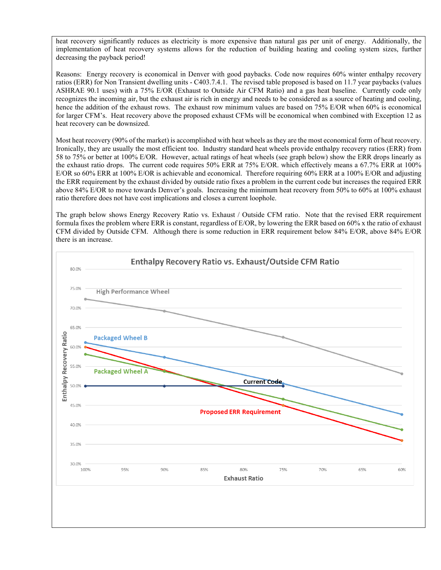heat recovery significantly reduces as electricity is more expensive than natural gas per unit of energy. Additionally, the implementation of heat recovery systems allows for the reduction of building heating and cooling system sizes, further decreasing the payback period!

Reasons: Energy recovery is economical in Denver with good paybacks. Code now requires 60% winter enthalpy recovery ratios (ERR) for Non Transient dwelling units - C403.7.4.1. The revised table proposed is based on 11.7 year paybacks (values ASHRAE 90.1 uses) with a 75% E/OR (Exhaust to Outside Air CFM Ratio) and a gas heat baseline. Currently code only recognizes the incoming air, but the exhaust air is rich in energy and needs to be considered as a source of heating and cooling, hence the addition of the exhaust rows. The exhaust row minimum values are based on 75% E/OR when 60% is economical for larger CFM's. Heat recovery above the proposed exhaust CFMs will be economical when combined with Exception 12 as heat recovery can be downsized.

Most heat recovery (90% of the market) is accomplished with heat wheels as they are the most economical form of heat recovery. Ironically, they are usually the most efficient too. Industry standard heat wheels provide enthalpy recovery ratios (ERR) from 58 to 75% or better at 100% E/OR. However, actual ratings of heat wheels (see graph below) show the ERR drops linearly as the exhaust ratio drops. The current code requires 50% ERR at 75% E/OR. which effectively means a 67.7% ERR at 100% E/OR so 60% ERR at 100% E/OR is achievable and economical. Therefore requiring 60% ERR at a 100% E/OR and adjusting the ERR requirement by the exhaust divided by outside ratio fixes a problem in the current code but increases the required ERR above 84% E/OR to move towards Denver's goals. Increasing the minimum heat recovery from 50% to 60% at 100% exhaust ratio therefore does not have cost implications and closes a current loophole.

The graph below shows Energy Recovery Ratio vs. Exhaust / Outside CFM ratio. Note that the revised ERR requirement formula fixes the problem where ERR is constant, regardless of E/OR, by lowering the ERR based on 60% x the ratio of exhaust CFM divided by Outside CFM. Although there is some reduction in ERR requirement below 84% E/OR, above 84% E/OR there is an increase.

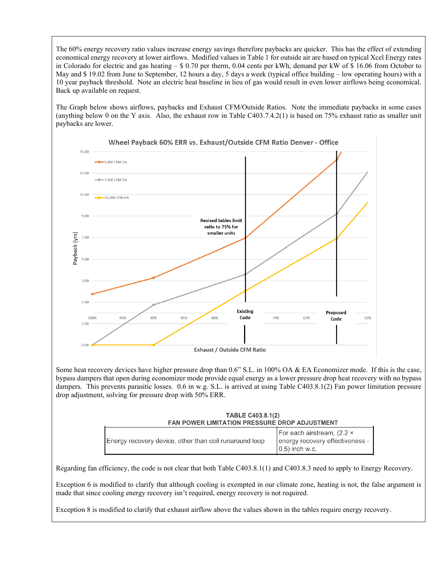The 60% energy recovery ratio values increase energy savings therefore paybacks are quicker. This has the effect of extending economical energy recovery at lower airflows. Modified values in Table 1 for outside air are based on typical Xcel Energy rates in Colorado for electric and gas heating – \$ 0.70 per therm, 0.04 cents per kWh, demand per kW of \$ 16.06 from October to May and \$ 19.02 from June to September, 12 hours a day, 5 days a week (typical office building – low operating hours) with a 10 year payback threshold. Note an electric heat baseline in lieu of gas would result in even lower airflows being economical. Back up available on request.

The Graph below shows airflows, paybacks and Exhaust CFM/Outside Ratios. Note the immediate paybacks in some cases (anything below 0 on the Y axis. Also, the exhaust row in Table C403.7.4.2(1) is based on 75% exhaust ratio as smaller unit paybacks are lower.



Some heat recovery devices have higher pressure drop than 0.6" S.L. in 100% OA & EA Economizer mode. If this is the case, bypass dampers that open during economizer mode provide equal energy as a lower pressure drop heat recovery with no bypass dampers. This prevents parasitic losses. 0.6 in w.g. S.L. is arrived at using Table C403.8.1(2) Fan power limitation pressure drop adjustment, solving for pressure drop with 50% ERR.

| <b>TABLE C403.8.1(2)</b>                             |  |  |  |  |
|------------------------------------------------------|--|--|--|--|
| <b>FAN POWER LIMITATION PRESSURE DROP ADJUSTMENT</b> |  |  |  |  |
|                                                      |  |  |  |  |

| Energy recovery device, other than coil runaround loop | For each airstream, (2.2 x<br>energy recovery effectiveness -<br>$(0.5)$ inch w.c. |
|--------------------------------------------------------|------------------------------------------------------------------------------------|
|--------------------------------------------------------|------------------------------------------------------------------------------------|

Regarding fan efficiency, the code is not clear that both Table C403.8.1(1) and C403.8.3 need to apply to Energy Recovery.

Exception 6 is modified to clarify that although cooling is exempted in our climate zone, heating is not, the false argument is made that since cooling energy recovery isn't required, energy recovery is not required.

Exception 8 is modified to clarify that exhaust airflow above the values shown in the tables require energy recovery.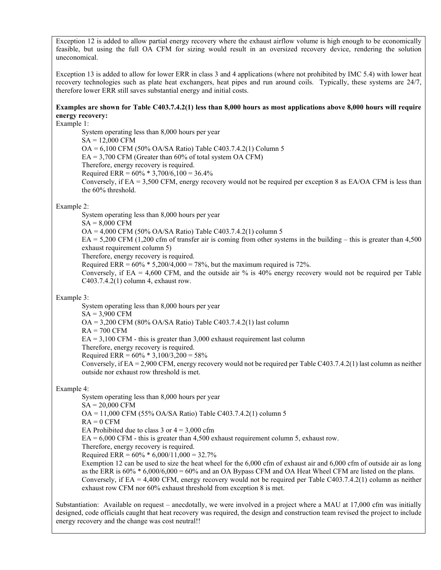Exception 12 is added to allow partial energy recovery where the exhaust airflow volume is high enough to be economically feasible, but using the full OA CFM for sizing would result in an oversized recovery device, rendering the solution uneconomical.

Exception 13 is added to allow for lower ERR in class 3 and 4 applications (where not prohibited by IMC 5.4) with lower heat recovery technologies such as plate heat exchangers, heat pipes and run around coils. Typically, these systems are 24/7, therefore lower ERR still saves substantial energy and initial costs.

# **Examples are shown for Table C403.7.4.2(1) less than 8,000 hours as most applications above 8,000 hours will require energy recovery:**

Example 1:

System operating less than 8,000 hours per year SA = 12,000 CFM OA = 6,100 CFM (50% OA/SA Ratio) Table C403.7.4.2(1) Column 5  $EA = 3,700 \text{ CFM}$  (Greater than 60% of total system OA CFM) Therefore, energy recovery is required. Required ERR =  $60\%$  \* 3,700/6,100 = 36.4% Conversely, if EA = 3,500 CFM, energy recovery would not be required per exception 8 as EA/OA CFM is less than the 60% threshold.

# Example 2:

System operating less than 8,000 hours per year

 $SA = 8,000$  CFM

OA = 4,000 CFM (50% OA/SA Ratio) Table C403.7.4.2(1) column 5

 $EA = 5,200 \text{ CFM}$  (1,200 cfm of transfer air is coming from other systems in the building – this is greater than 4,500 exhaust requirement column 5)

Therefore, energy recovery is required.

Required ERR =  $60\% * 5,200/4,000 = 78\%$ , but the maximum required is 72%.

Conversely, if EA = 4,600 CFM, and the outside air % is 40% energy recovery would not be required per Table C403.7.4.2(1) column 4, exhaust row.

# Example 3:

System operating less than 8,000 hours per year  $SA = 3,900$  CFM OA = 3,200 CFM (80% OA/SA Ratio) Table C403.7.4.2(1) last column  $RA = 700$  CFM  $EA = 3,100 \text{ CFM}$  - this is greater than 3,000 exhaust requirement last column Therefore, energy recovery is required. Required ERR =  $60\%$  \* 3,100/3,200 = 58% Conversely, if EA = 2,900 CFM, energy recovery would not be required per Table C403.7.4.2(1) last column as neither outside nor exhaust row threshold is met.

# Example 4:

System operating less than 8,000 hours per year  $SA = 20,000 \text{ CFM}$ OA = 11,000 CFM (55% OA/SA Ratio) Table C403.7.4.2(1) column 5  $RA = 0$  CFM EA Prohibited due to class 3 or  $4 = 3,000$  cfm  $EA = 6,000$  CFM - this is greater than 4,500 exhaust requirement column 5, exhaust row. Therefore, energy recovery is required. Required ERR =  $60\% * 6,000/11,000 = 32.7\%$ Exemption 12 can be used to size the heat wheel for the 6,000 cfm of exhaust air and 6,000 cfm of outside air as long as the ERR is  $60\% * 6,000/6,000 = 60\%$  and an OA Bypass CFM and OA Heat Wheel CFM are listed on the plans. Conversely, if EA = 4,400 CFM, energy recovery would not be required per Table C403.7.4.2(1) column as neither exhaust row CFM nor 60% exhaust threshold from exception 8 is met.

Substantiation: Available on request – anecdotally, we were involved in a project where a MAU at 17,000 cfm was initially designed, code officials caught that heat recovery was required, the design and construction team revised the project to include energy recovery and the change was cost neutral!!